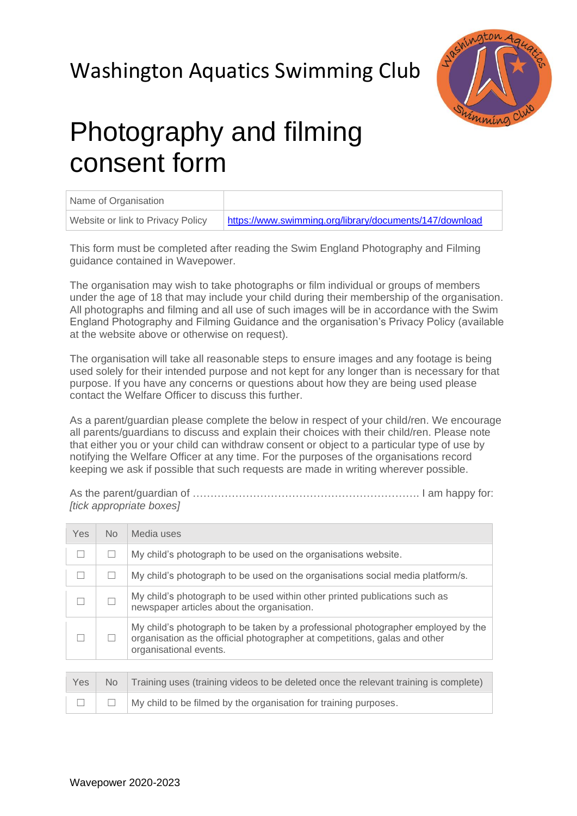## Washington Aquatics Swimming Club



## Photography and filming consent form

| Name of Organisation              |                                                         |
|-----------------------------------|---------------------------------------------------------|
| Website or link to Privacy Policy | https://www.swimming.org/library/documents/147/download |

This form must be completed after reading the Swim England Photography and Filming guidance contained in Wavepower.

The organisation may wish to take photographs or film individual or groups of members under the age of 18 that may include your child during their membership of the organisation. All photographs and filming and all use of such images will be in accordance with the Swim England Photography and Filming Guidance and the organisation's Privacy Policy (available at the website above or otherwise on request).

The organisation will take all reasonable steps to ensure images and any footage is being used solely for their intended purpose and not kept for any longer than is necessary for that purpose. If you have any concerns or questions about how they are being used please contact the Welfare Officer to discuss this further.

As a parent/guardian please complete the below in respect of your child/ren. We encourage all parents/guardians to discuss and explain their choices with their child/ren. Please note that either you or your child can withdraw consent or object to a particular type of use by notifying the Welfare Officer at any time. For the purposes of the organisations record keeping we ask if possible that such requests are made in writing wherever possible.

As the parent/guardian of ………………………………………………………. I am happy for: *[tick appropriate boxes]*

| <b>Yes</b> | No | Media uses                                                                                                                                                                               |
|------------|----|------------------------------------------------------------------------------------------------------------------------------------------------------------------------------------------|
|            |    | My child's photograph to be used on the organisations website.                                                                                                                           |
|            |    | My child's photograph to be used on the organisations social media platform/s.                                                                                                           |
|            |    | My child's photograph to be used within other printed publications such as<br>newspaper articles about the organisation.                                                                 |
|            |    | My child's photograph to be taken by a professional photographer employed by the<br>organisation as the official photographer at competitions, galas and other<br>organisational events. |
|            |    |                                                                                                                                                                                          |

|  | Yes No Training uses (training videos to be deleted once the relevant training is complete) |
|--|---------------------------------------------------------------------------------------------|
|  | $\Box$   $\Box$   My child to be filmed by the organisation for training purposes.          |